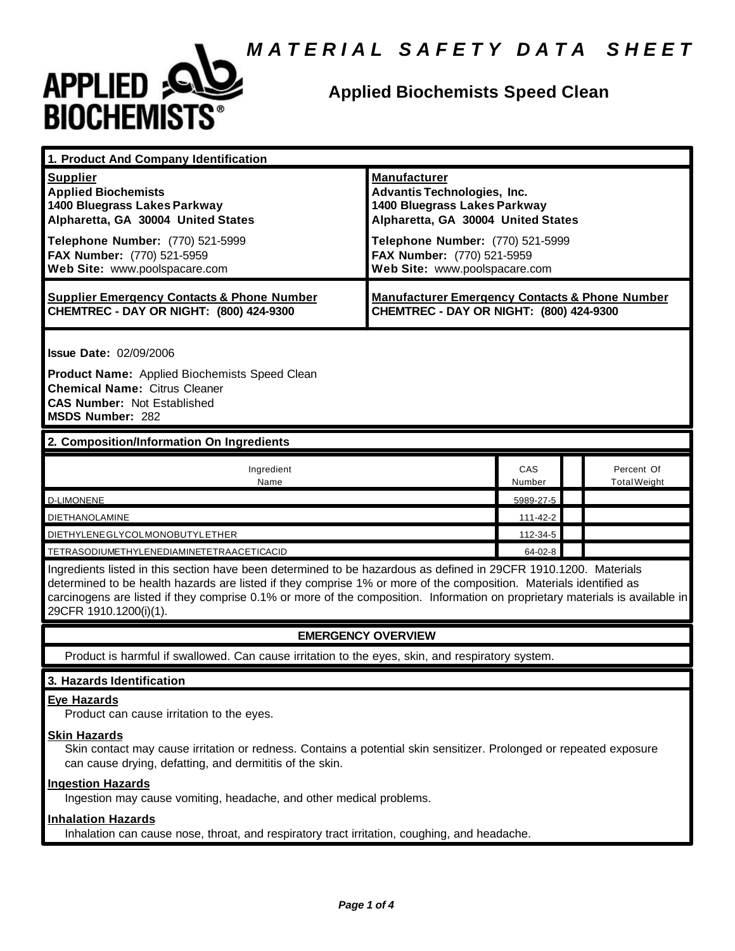

### **Applied Biochemists Speed Clean**

| 1. Product And Company Identification                                                                                                                                                                                  |                                                                                                                                                                                                                                    |  |                                   |  |
|------------------------------------------------------------------------------------------------------------------------------------------------------------------------------------------------------------------------|------------------------------------------------------------------------------------------------------------------------------------------------------------------------------------------------------------------------------------|--|-----------------------------------|--|
| <b>Supplier</b><br><b>Applied Biochemists</b><br>1400 Bluegrass Lakes Parkway<br>Alpharetta, GA 30004 United States<br>Telephone Number: (770) 521-5999<br>FAX Number: (770) 521-5959<br>Web Site: www.poolspacare.com | <b>Manufacturer</b><br><b>Advantis Technologies, Inc.</b><br>1400 Bluegrass Lakes Parkway<br>Alpharetta, GA 30004 United States<br>Telephone Number: (770) 521-5999<br>FAX Number: (770) 521-5959<br>Web Site: www.poolspacare.com |  |                                   |  |
| <b>Supplier Emergency Contacts &amp; Phone Number</b><br>CHEMTREC - DAY OR NIGHT: (800) 424-9300                                                                                                                       | <b>Manufacturer Emergency Contacts &amp; Phone Number</b><br>CHEMTREC - DAY OR NIGHT: (800) 424-9300                                                                                                                               |  |                                   |  |
| <b>Issue Date: 02/09/2006</b><br>Product Name: Applied Biochemists Speed Clean<br><b>Chemical Name: Citrus Cleaner</b><br><b>CAS Number: Not Established</b><br>MSDS Number: 282                                       |                                                                                                                                                                                                                                    |  |                                   |  |
| 2. Composition/Information On Ingredients                                                                                                                                                                              |                                                                                                                                                                                                                                    |  |                                   |  |
| Ingredient<br>Name                                                                                                                                                                                                     | CAS<br>Number                                                                                                                                                                                                                      |  | Percent Of<br><b>Total Weight</b> |  |
| <b>D-LIMONENE</b>                                                                                                                                                                                                      | 5989-27-5                                                                                                                                                                                                                          |  |                                   |  |
| <b>DIETHANOLAMINE</b>                                                                                                                                                                                                  | 111-42-2                                                                                                                                                                                                                           |  |                                   |  |
| DIETHYLENE GLYCOLMONOBUTYL ETHER                                                                                                                                                                                       | 112-34-5                                                                                                                                                                                                                           |  |                                   |  |
| TETRASODIUMETHYLENEDIAMINETETRAACETICACID                                                                                                                                                                              | $64 - 02 - 8$                                                                                                                                                                                                                      |  |                                   |  |
| Ingredients listed in this section have been determined to be hazardous as defined in 29CFR 1910.1200. Materials                                                                                                       |                                                                                                                                                                                                                                    |  |                                   |  |

determined to be health hazards are listed if they comprise 1% or more of the composition. Materials identified as carcinogens are listed if they comprise 0.1% or more of the composition. Information on proprietary materials is available in 29CFR 1910.1200(i)(1).

#### **EMERGENCY OVERVIEW**

Product is harmful if swallowed. Can cause irritation to the eyes, skin, and respiratory system.

#### **3. Hazards Identification**

#### **Eye Hazards**

Product can cause irritation to the eyes.

#### **Skin Hazards**

Skin contact may cause irritation or redness. Contains a potential skin sensitizer. Prolonged or repeated exposure can cause drying, defatting, and dermititis of the skin.

#### **Ingestion Hazards**

Ingestion may cause vomiting, headache, and other medical problems.

#### **Inhalation Hazards**

Inhalation can cause nose, throat, and respiratory tract irritation, coughing, and headache.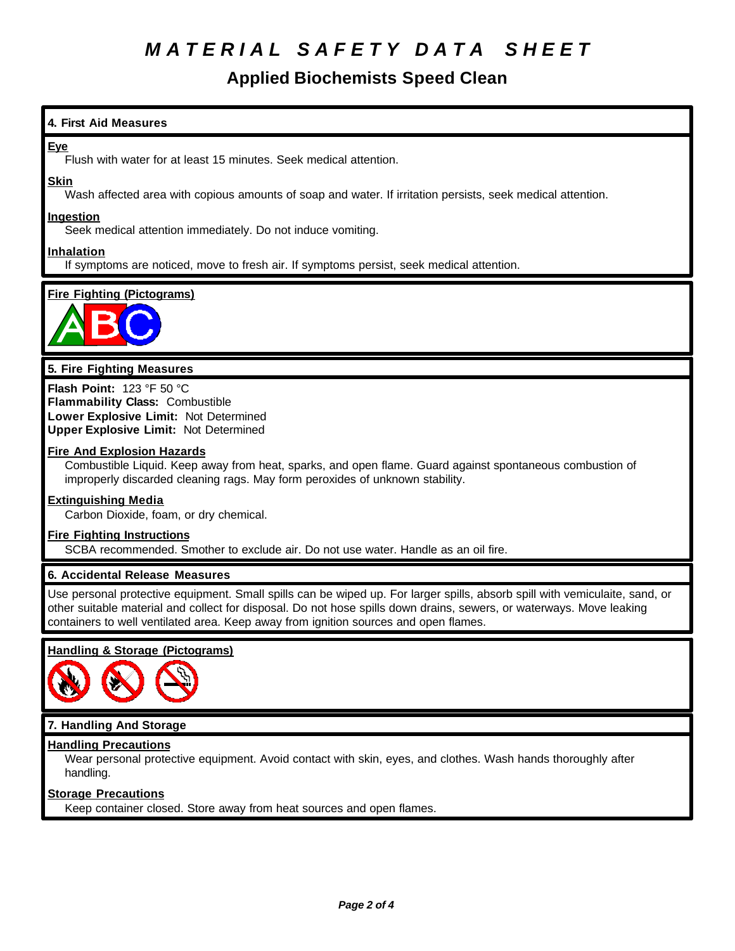## *M A T E R I A L S A F E T Y D A T A S H E E T*

### **Applied Biochemists Speed Clean**

#### **4. First Aid Measures**

#### **Eye**

Flush with water for at least 15 minutes. Seek medical attention.

#### **Skin**

Wash affected area with copious amounts of soap and water. If irritation persists, seek medical attention.

#### **Ingestion**

Seek medical attention immediately. Do not induce vomiting.

#### **Inhalation**

If symptoms are noticed, move to fresh air. If symptoms persist, seek medical attention.

#### **Fire Fighting (Pictograms)**



#### **5. Fire Fighting Measures**

**Flash Point:** 123 °F 50 °C **Flammability Class:** Combustible **Lower Explosive Limit:** Not Determined **Upper Explosive Limit:** Not Determined

#### **Fire And Explosion Hazards**

Combustible Liquid. Keep away from heat, sparks, and open flame. Guard against spontaneous combustion of improperly discarded cleaning rags. May form peroxides of unknown stability.

#### **Extinguishing Media**

Carbon Dioxide, foam, or dry chemical.

#### **Fire Fighting Instructions**

SCBA recommended. Smother to exclude air. Do not use water. Handle as an oil fire.

#### **6. Accidental Release Measures**

Use personal protective equipment. Small spills can be wiped up. For larger spills, absorb spill with vemiculaite, sand, or other suitable material and collect for disposal. Do not hose spills down drains, sewers, or waterways. Move leaking containers to well ventilated area. Keep away from ignition sources and open flames.

#### **Handling & Storage (Pictograms)**



#### **7. Handling And Storage**

#### **Handling Precautions**

Wear personal protective equipment. Avoid contact with skin, eyes, and clothes. Wash hands thoroughly after handling.

#### **Storage Precautions**

Keep container closed. Store away from heat sources and open flames.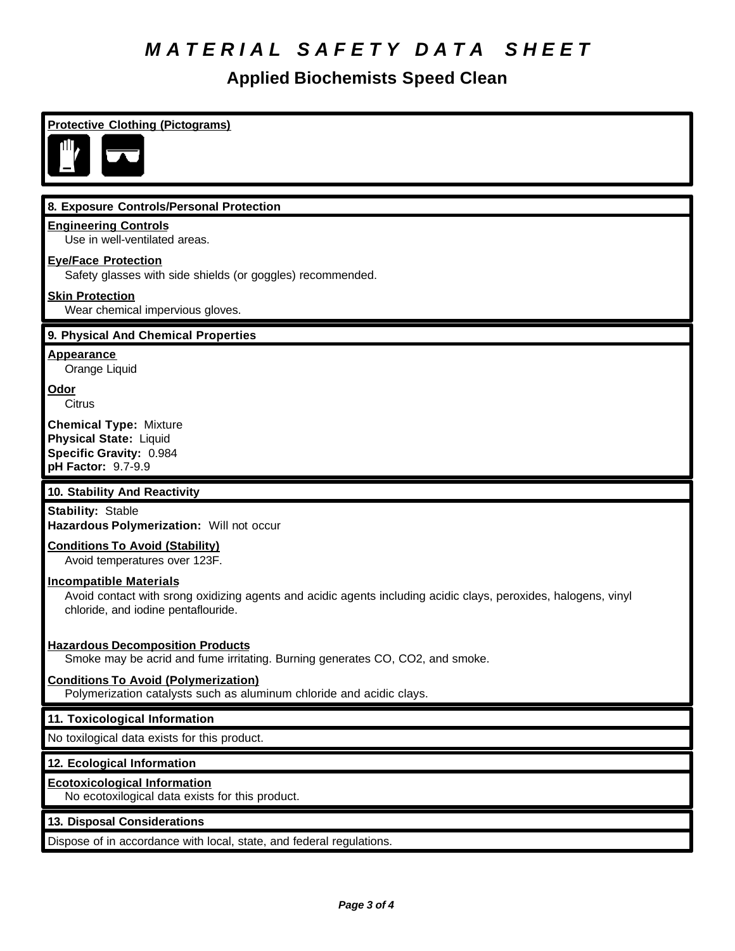# *M A T E R I A L S A F E T Y D A T A S H E E T*

## **Applied Biochemists Speed Clean**

| <b>Protective Clothing (Pictograms)</b>                                                                                                                                                |
|----------------------------------------------------------------------------------------------------------------------------------------------------------------------------------------|
|                                                                                                                                                                                        |
|                                                                                                                                                                                        |
| 8. Exposure Controls/Personal Protection                                                                                                                                               |
| <b>Engineering Controls</b><br>Use in well-ventilated areas.                                                                                                                           |
| <b>Eye/Face Protection</b><br>Safety glasses with side shields (or goggles) recommended.                                                                                               |
| <b>Skin Protection</b><br>Wear chemical impervious gloves.                                                                                                                             |
| 9. Physical And Chemical Properties                                                                                                                                                    |
| <b>Appearance</b><br>Orange Liquid                                                                                                                                                     |
| Odor<br>Citrus                                                                                                                                                                         |
| <b>Chemical Type: Mixture</b><br><b>Physical State: Liquid</b><br>Specific Gravity: 0.984<br>pH Factor: 9.7-9.9                                                                        |
| 10. Stability And Reactivity                                                                                                                                                           |
| <b>Stability: Stable</b><br>Hazardous Polymerization: Will not occur                                                                                                                   |
| <b>Conditions To Avoid (Stability)</b><br>Avoid temperatures over 123F.                                                                                                                |
| <b>Incompatible Materials</b><br>Avoid contact with srong oxidizing agents and acidic agents including acidic clays, peroxides, halogens, vinyl<br>chloride, and iodine pentaflouride. |
| <b>Hazardous Decomposition Products</b><br>Smoke may be acrid and fume irritating. Burning generates CO, CO2, and smoke.                                                               |
| <b>Conditions To Avoid (Polymerization)</b><br>Polymerization catalysts such as aluminum chloride and acidic clays.                                                                    |
| 11. Toxicological Information                                                                                                                                                          |
| No toxilogical data exists for this product.                                                                                                                                           |
| 12. Ecological Information                                                                                                                                                             |
| <b>Ecotoxicological Information</b><br>No ecotoxilogical data exists for this product.                                                                                                 |
| 13. Disposal Considerations                                                                                                                                                            |
| Dispose of in accordance with local, state, and federal regulations.                                                                                                                   |
|                                                                                                                                                                                        |